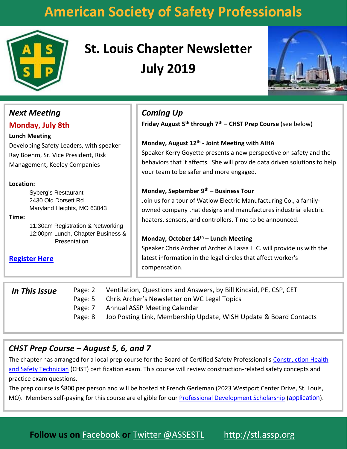## **American Society of Safety Professionals**



# **St. Louis Chapter Newsletter July 2019**



| <b>Next Meeting</b>                                                                                                                                                                                              | <b>Coming Up</b>                                                                                                                                                                                                                                                                                                                                                                                                                                |
|------------------------------------------------------------------------------------------------------------------------------------------------------------------------------------------------------------------|-------------------------------------------------------------------------------------------------------------------------------------------------------------------------------------------------------------------------------------------------------------------------------------------------------------------------------------------------------------------------------------------------------------------------------------------------|
| <b>Monday, July 8th</b>                                                                                                                                                                                          | Friday August $5^{th}$ through $7^{th}$ – CHST Prep Course (see below)                                                                                                                                                                                                                                                                                                                                                                          |
| <b>Lunch Meeting</b>                                                                                                                                                                                             | Monday, August 12 <sup>th</sup> - Joint Meeting with AIHA                                                                                                                                                                                                                                                                                                                                                                                       |
| Developing Safety Leaders, with speaker                                                                                                                                                                          | Speaker Kerry Goyette presents a new perspective on safety and the                                                                                                                                                                                                                                                                                                                                                                              |
| Ray Boehm, Sr. Vice President, Risk                                                                                                                                                                              | behaviors that it affects. She will provide data driven solutions to help                                                                                                                                                                                                                                                                                                                                                                       |
| Management, Keeley Companies                                                                                                                                                                                     | your team to be safer and more engaged.                                                                                                                                                                                                                                                                                                                                                                                                         |
| Location:<br>Syberg's Restaurant<br>2430 Old Dorsett Rd<br>Maryland Heights, MO 63043<br>Time:<br>11:30am Registration & Networking<br>12:00pm Lunch, Chapter Business &<br>Presentation<br><b>Register Here</b> | Monday, September $9th$ – Business Tour<br>Join us for a tour of Watlow Electric Manufacturing Co., a family-<br>owned company that designs and manufactures industrial electric<br>heaters, sensors, and controllers. Time to be announced.<br>Monday, October $14th$ – Lunch Meeting<br>Speaker Chris Archer of Archer & Lassa LLC. will provide us with the<br>latest information in the legal circles that affect worker's<br>compensation. |
| Page: 2<br>In This Issue<br>Page: 5<br>Page: 7                                                                                                                                                                   | Ventilation, Questions and Answers, by Bill Kincaid, PE, CSP, CET<br>Chris Archer's Newsletter on WC Legal Topics<br><b>Annual ASSP Meeting Calendar</b>                                                                                                                                                                                                                                                                                        |

Page: 8 Job Posting Link, Membership Update, WISH Update & Board Contacts

### *CHST Prep Course – August 5, 6, and 7*

The chapter has arranged for a local prep course for the Board of Certified Safety Professional's Construction Health [and Safety Technician](https://www.bcsp.org/Portals/0/Assets/DocumentLibrary/Complete-Guide-CHST.pdf) (CHST) certification exam. This course will review construction-related safety concepts and practice exam questions.

The prep course is \$800 per person and will be hosted at French Gerleman (2023 Westport Center Drive, St. Louis, MO). Members self-paying for this course are eligible for our **Professional Development Scholarship (application**).

### **Follow us on** [Facebook](https://www.facebook.com/ASSESTL/) **or** [Twitter @ASSESTL](https://twitter.com/assestl/)[http://stl.assp.org](http://stl.assp.org/)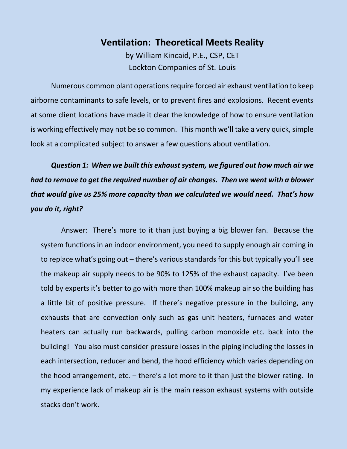### **Ventilation: Theoretical Meets Reality**

by William Kincaid, P.E., CSP, CET Lockton Companies of St. Louis

Numerous common plant operations require forced air exhaust ventilation to keep airborne contaminants to safe levels, or to prevent fires and explosions. Recent events at some client locations have made it clear the knowledge of how to ensure ventilation is working effectively may not be so common. This month we'll take a very quick, simple look at a complicated subject to answer a few questions about ventilation.

*Question 1: When we built this exhaust system, we figured out how much air we had to remove to get the required number of air changes. Then we went with a blower that would give us 25% more capacity than we calculated we would need. That's how you do it, right?*

Answer: There's more to it than just buying a big blower fan. Because the system functions in an indoor environment, you need to supply enough air coming in to replace what's going out – there's various standards for this but typically you'll see the makeup air supply needs to be 90% to 125% of the exhaust capacity. I've been told by experts it's better to go with more than 100% makeup air so the building has a little bit of positive pressure. If there's negative pressure in the building, any exhausts that are convection only such as gas unit heaters, furnaces and water heaters can actually run backwards, pulling carbon monoxide etc. back into the building! You also must consider pressure losses in the piping including the losses in each intersection, reducer and bend, the hood efficiency which varies depending on the hood arrangement, etc. – there's a lot more to it than just the blower rating. In my experience lack of makeup air is the main reason exhaust systems with outside stacks don't work.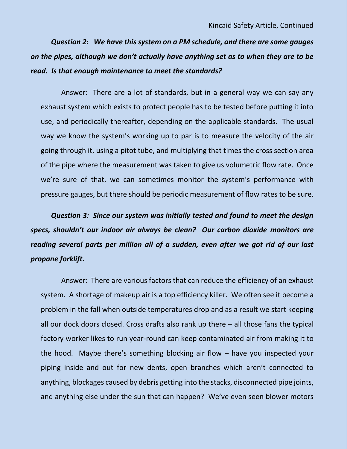*Question 2: We have this system on a PM schedule, and there are some gauges on the pipes, although we don't actually have anything set as to when they are to be read. Is that enough maintenance to meet the standards?* 

Answer: There are a lot of standards, but in a general way we can say any exhaust system which exists to protect people has to be tested before putting it into use, and periodically thereafter, depending on the applicable standards. The usual way we know the system's working up to par is to measure the velocity of the air going through it, using a pitot tube, and multiplying that times the cross section area of the pipe where the measurement was taken to give us volumetric flow rate. Once we're sure of that, we can sometimes monitor the system's performance with pressure gauges, but there should be periodic measurement of flow rates to be sure.

*Question 3: Since our system was initially tested and found to meet the design specs, shouldn't our indoor air always be clean? Our carbon dioxide monitors are reading several parts per million all of a sudden, even after we got rid of our last propane forklift.* 

Answer: There are various factors that can reduce the efficiency of an exhaust system. A shortage of makeup air is a top efficiency killer. We often see it become a problem in the fall when outside temperatures drop and as a result we start keeping all our dock doors closed. Cross drafts also rank up there – all those fans the typical factory worker likes to run year-round can keep contaminated air from making it to the hood. Maybe there's something blocking air flow – have you inspected your piping inside and out for new dents, open branches which aren't connected to anything, blockages caused by debris getting into the stacks, disconnected pipe joints, and anything else under the sun that can happen? We've even seen blower motors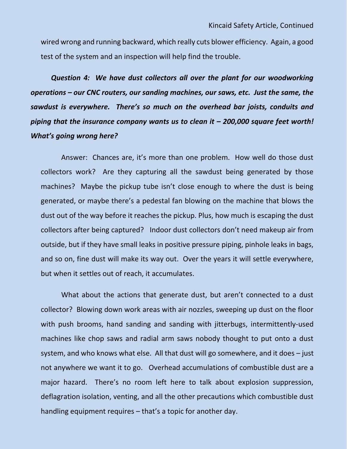wired wrong and running backward, which really cuts blower efficiency. Again, a good test of the system and an inspection will help find the trouble.

*Question 4: We have dust collectors all over the plant for our woodworking operations – our CNC routers, our sanding machines, our saws, etc. Just the same, the sawdust is everywhere. There's so much on the overhead bar joists, conduits and piping that the insurance company wants us to clean it – 200,000 square feet worth! What's going wrong here?*

Answer: Chances are, it's more than one problem. How well do those dust collectors work? Are they capturing all the sawdust being generated by those machines? Maybe the pickup tube isn't close enough to where the dust is being generated, or maybe there's a pedestal fan blowing on the machine that blows the dust out of the way before it reaches the pickup. Plus, how much is escaping the dust collectors after being captured? Indoor dust collectors don't need makeup air from outside, but if they have small leaks in positive pressure piping, pinhole leaks in bags, and so on, fine dust will make its way out. Over the years it will settle everywhere, but when it settles out of reach, it accumulates.

What about the actions that generate dust, but aren't connected to a dust collector? Blowing down work areas with air nozzles, sweeping up dust on the floor with push brooms, hand sanding and sanding with jitterbugs, intermittently-used machines like chop saws and radial arm saws nobody thought to put onto a dust system, and who knows what else. All that dust will go somewhere, and it does – just not anywhere we want it to go. Overhead accumulations of combustible dust are a major hazard. There's no room left here to talk about explosion suppression, deflagration isolation, venting, and all the other precautions which combustible dust handling equipment requires – that's a topic for another day.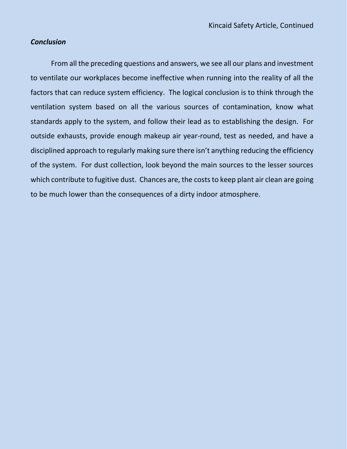#### *Conclusion*

From all the preceding questions and answers, we see all our plans and investment to ventilate our workplaces become ineffective when running into the reality of all the factors that can reduce system efficiency. The logical conclusion is to think through the ventilation system based on all the various sources of contamination, know what standards apply to the system, and follow their lead as to establishing the design. For outside exhausts, provide enough makeup air year-round, test as needed, and have a disciplined approach to regularly making sure there isn't anything reducing the efficiency of the system. For dust collection, look beyond the main sources to the lesser sources which contribute to fugitive dust. Chances are, the costs to keep plant air clean are going to be much lower than the consequences of a dirty indoor atmosphere.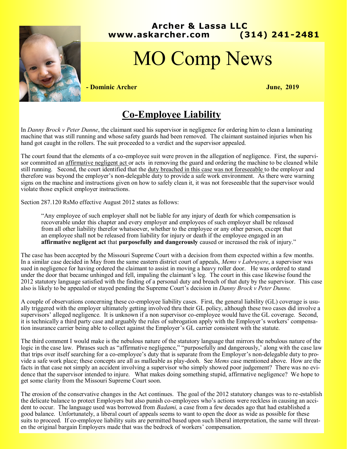

### **Archer & Lassa LLC www.askarcher.com (314) 241-2481**

# MO Comp News

 **- Dominic Archer June, 2019**

## **Co-Employee Liability**

In *Danny Brock v Peter Dunne*, the claimant sued his supervisor in negligence for ordering him to clean a laminating machine that was still running and whose safety guards had been removed. The claimant sustained injuries when his hand got caught in the rollers. The suit proceeded to a verdict and the supervisor appealed.

The court found that the elements of a co-employee suit were proven in the allegation of negligence. First, the supervisor committed an affirmative negligent act or acts in removing the guard and ordering the machine to be cleaned while still running. Second, the court identified that the <u>duty breached in this case was not foreseeable</u> to the employer and therefore was beyond the employer's non-delegable duty to provide a safe work environment. As there were warning signs on the machine and instructions given on how to safely clean it, it was not foreseeable that the supervisor would violate those explicit employer instructions.

Section 287.120 RsMo effective August 2012 states as follows:

"Any employee of such employer shall not be liable for any injury of death for which compensation is recoverable under this chapter and every employer and employees of such employer shall be released from all other liability therefor whatsoever, whether to the employee or any other person, except that an employee shall not be released from liability for injury or death if the employee engaged in an **affirmative negligent act** that **purposefully and dangerously** caused or increased the risk of injury."

The case has been accepted by the Missouri Supreme Court with a decision from them expected within a few months. In a similar case decided in May from the same eastern district court of appeals, *Mems v Labruyere*, a supervisor was sued in negligence for having ordered the claimant to assist in moving a heavy roller door. He was ordered to stand under the door that became unhinged and fell, impaling the claimant's leg. The court in this case likewise found the 2012 statutory language satisfied with the finding of a personal duty and breach of that duty by the supervisor. This case also is likely to be appealed or stayed pending the Supreme Court's decision in *Danny Brock v Peter Dunne.*

A couple of observations concerning these co-employee liability cases. First, the general liability (GL) coverage is usually triggered with the employer ultimately getting involved thru their GL policy, although these two cases did involve a supervisors' alleged negligence. It is unknown if a non supervisor co-employee would have the GL coverage. Second, it is technically a third party case and arguably the rules of subrogation apply with the Employer's workers' compensation insurance carrier being able to collect against the Employer's GL carrier consistent with the statute.

The third comment I would make is the nebulous nature of the statutory language that mirrors the nebulous nature of the logic in the case law. Phrases such as "affirmative negligence," "purposefully and dangerously,' along with the case law that trips over itself searching for a co-employee's duty that is separate from the Employer's non-delegable duty to provide a safe work place; these concepts are all as malleable as play-dooh. See *Mems* case mentioned above. How are the facts in that case not simply an accident involving a supervisor who simply showed poor judgement? There was no evidence that the supervisor intended to injure. What makes doing something stupid, affirmative negligence? We hope to get some clarity from the Missouri Supreme Court soon.

The erosion of the conservative changes in the Act continues. The goal of the 2012 statutory changes was to re-establish the delicate balance to protect Employers but also punish co-employees who's actions were reckless in causing an accident to occur. The language used was borrowed from *Badami,* a case from a few decades ago that had established a good balance. Unfortunately, a liberal court of appeals seems to want to open the door as wide as possible for these suits to proceed. If co-employee liability suits are permitted based upon such liberal interpretation, the same will threaten the original bargain Employers made that was the bedrock of workers' compensation.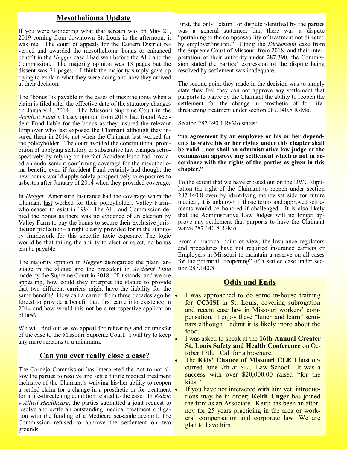#### **Mesothelioma Update**

If you were wondering what that scream was on May 21, 2019 coming from downtown St. Louis in the afternoon, it was me. The court of appeals for the Eastern District reversed and awarded the mesothelioma bonus or enhanced benefit in the *Hegger* case I had won before the ALJ and the Commission. The majority opinion was 13 pages but the dissent was 21 pages. I think the majority simply gave up trying to explain what they were doing and how they arrived at their decision.

The "bonus" is payable in the cases of mesothelioma when a claim is filed after the effective date of the statutory changes on January 1, 2014. The Missouri Supreme Court in the *Accident Fund* v Casey opinion from 2018 had found Accident Fund liable for the bonus as they insured the relevant Employer who last exposed the Claimant although they insured them in 2014, not when the Claimant last worked for the policyholder. The court avoided the constitutional prohibition of applying statutory or substantive law changes retrospectively by relying on the fact Accident Fund had provided an endorsement confirming coverage for the mesothelioma benefit, even if Accident Fund certainly had thought the new bonus would apply solely prospectively to exposures to asbestos after January of 2014 when they provided coverage.

In *Hegger*, Amerisure Insurance had the coverage when the Claimant last worked for their policyholder, Valley Farm– who ceased to exist in 1994. The ALJ and Commission denied the bonus as there was no evidence of an election by Valley Farm to pay the bonus to secure their exclusive jurisdiction protection– a right clearly provided for in the statutory framework for this specific toxic exposure. The logic would be that failing the ability to elect or reject, no bonus can be payable.

The majority opinion in *Hegger* disregarded the plain language in the statute and the precedent in *Accident Fund*  made by the Supreme Court in 2018. If it stands, and we are appealing, how could they interpret the statute to provide that two different carriers might have the liability for the same benefit? How can a carrier from three decades ago be  $\bullet$ forced to provide a benefit that first came into existence in 2014 and how would this not be a retrospective application of law?

We will find out as we appeal for rehearing and or transfer of the case to the Missouri Supreme Court. I will try to keep any more screams to a minimum.

#### **Can you ever really close a case?**

The Cornejo Commission has interpreted the Act to not allow the parties to resolve and settle future medical treatment inclusive of the Claimant's waiving his/her ability to reopen a settled claim for a change in a prosthetic or for treatment  $\bullet$ for a life-threatening condition related to the case. In *Redzic v Allied Healthcare*, the parties submitted a joint request to resolve and settle an outstanding medical treatment obligation with the funding of a Medicare set-aside account. The Commission refused to approve the settlement on two grounds.

First, the only "claim" or dispute identified by the parties was a general statement that there was a dispute "pertaining to the compensability of treatment not directed by employer/insurer." Citing the *Dickemann* case from the Supreme Court of Missouri from 2018, and their interpretation of their authority under 287.390, the Commission stated the parties' expression of the dispute being resolved by settlement was inadequate.

The second point they made in the decision was to simply state they feel they can not approve any settlement that purports to waive by the Claimant the ability to reopen the settlement for the change in prosthetic of for lifethreatening treatment under section 287.140.8 RsMo.

Section 287.390.1 RsMo states:

**"no agreement by an employee or his or her dependents to waive his or her rights under this chapter shall be valid…nor shall an administrative law judge or the commission approve any settlement which is not in accordance with the rights of the parties as given in this chapter."**

To the extent that we have crossed out on the DWC stipulation the right of the Claimant to reopen under section 287.140.8 even by identifying money set side for future medical, it is unknown if those terms and approved settlements would be honored if challenged. It is also likely that the Administrative Law Judges will no longer approve any settlement that purports to have the Claimant waive 287.140.8 RsMo.

From a practical point of view, the Insurance regulators and procedures have not required insurance carriers or Employers in Missouri to maintain a reserve on all cases for the potential "reopening" of a settled case under section 287.140.8.

#### **Odds and Ends**

- I was approached to do some in-house training for **CCMSI** in St. Louis, covering subrogation and recent case law in Missouri workers' compensation. I enjoy these "lunch and learn" seminars although I admit it is likely more about the food.
- I was asked to speak at the **16th Annual Greater St. Louis Safety and Health Conference** on October 17th. Call for a brochure.
- The **Kids' Chance of Missouri CLE** I host occurred June 7th at SLU Law School. It was a success with over \$20,000.00 raised "for the kids."
- If you have not interacted with him yet, introductions may be in order; **Keith Unger** has joined the firm as an Associate. Keith has been an attorney for 25 years practicing in the area or workers' compensation and corporate law. We are glad to have him.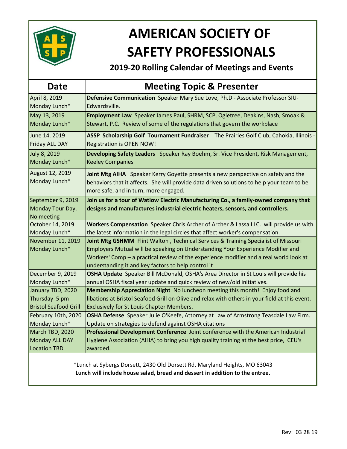

# **AMERICAN SOCIETY OF SAFETY PROFESSIONALS**

## **2019-20 Rolling Calendar of Meetings and Events**

| Date                                                                         | <b>Meeting Topic &amp; Presenter</b>                                                           |  |
|------------------------------------------------------------------------------|------------------------------------------------------------------------------------------------|--|
| April 8, 2019                                                                | Defensive Communication Speaker Mary Sue Love, Ph.D - Associate Professor SIU-                 |  |
| Monday Lunch*                                                                | Edwardsville.                                                                                  |  |
| May 13, 2019                                                                 | Employment Law Speaker James Paul, SHRM, SCP, Ogletree, Deakins, Nash, Smoak &                 |  |
| Monday Lunch*                                                                | Stewart, P.C. Review of some of the regulations that govern the workplace                      |  |
| June 14, 2019                                                                | ASSP Scholarship Golf Tournament Fundraiser The Prairies Golf Club, Cahokia, Illinois -        |  |
| Friday ALL DAY                                                               | <b>Registration is OPEN NOW!</b>                                                               |  |
| July 8, 2019                                                                 | Developing Safety Leaders Speaker Ray Boehm, Sr. Vice President, Risk Management,              |  |
| Monday Lunch*                                                                | <b>Keeley Companies</b>                                                                        |  |
| August 12, 2019                                                              | Joint Mtg AIHA Speaker Kerry Goyette presents a new perspective on safety and the              |  |
| Monday Lunch*                                                                | behaviors that it affects. She will provide data driven solutions to help your team to be      |  |
|                                                                              | more safe, and in turn, more engaged.                                                          |  |
| September 9, 2019                                                            | Join us for a tour of Watlow Electric Manufacturing Co., a family-owned company that           |  |
| Monday Tour Day,                                                             | designs and manufactures industrial electric heaters, sensors, and controllers.                |  |
| No meeting                                                                   |                                                                                                |  |
| October 14, 2019                                                             | Workers Compensation Speaker Chris Archer of Archer & Lassa LLC. will provide us with          |  |
| Monday Lunch*                                                                | the latest information in the legal circles that affect worker's compensation.                 |  |
| November 11, 2019                                                            | Joint Mtg GSHMM Flint Walton, Technical Services & Training Specialist of Missouri             |  |
| Monday Lunch*                                                                | Employers Mutual will be speaking on Understanding Your Experience Modifier and                |  |
|                                                                              | Workers' Comp - a practical review of the experience modifier and a real world look at         |  |
|                                                                              | understanding it and key factors to help control it                                            |  |
| December 9, 2019                                                             | OSHA Update Speaker Bill McDonald, OSHA's Area Director in St Louis will provide his           |  |
| Monday Lunch*                                                                | annual OSHA fiscal year update and quick review of new/old initiatives.                        |  |
| January TBD, 2020                                                            | Membership Appreciation Night No luncheon meeting this month! Enjoy food and                   |  |
| Thursday 5 pm                                                                | libations at Bristol Seafood Grill on Olive and relax with others in your field at this event. |  |
| <b>Bristol Seafood Grill</b>                                                 | <b>Exclusively for St Louis Chapter Members.</b>                                               |  |
| February 10th, 2020                                                          | OSHA Defense Speaker Julie O'Keefe, Attorney at Law of Armstrong Teasdale Law Firm.            |  |
| Monday Lunch*                                                                | Update on strategies to defend against OSHA citations                                          |  |
| March TBD, 2020                                                              | Professional Development Conference Joint conference with the American Industrial              |  |
| Monday ALL DAY                                                               | Hygiene Association (AIHA) to bring you high quality training at the best price, CEU's         |  |
| <b>Location TBD</b>                                                          | awarded.                                                                                       |  |
|                                                                              |                                                                                                |  |
| *Lunch at Sybergs Dorsett, 2430 Old Dorsett Rd, Maryland Heights, MO 63043   |                                                                                                |  |
| Lunch will include house salad, bread and dessert in addition to the entree. |                                                                                                |  |